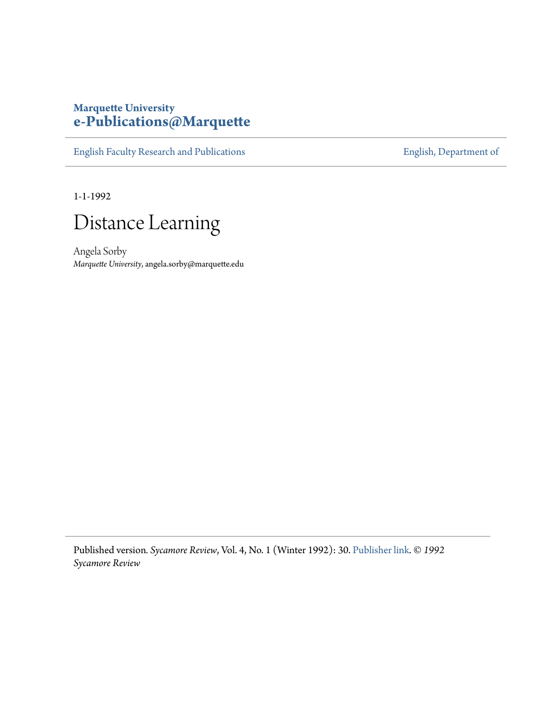## **Marquette University [e-Publications@Marquette](https://epublications.marquette.edu)**

[English Faculty Research and Publications](https://epublications.marquette.edu/english_fac) **[English, Department of](https://epublications.marquette.edu/english)** 

1-1-1992

## Distance Learning

Angela Sorby *Marquette University*, angela.sorby@marquette.edu

Published version*. Sycamore Review*, Vol. 4, No. 1 (Winter 1992): 30. [Publisher link.](https://sycamorereview.com/journal/archive/) © *1992 Sycamore Review*